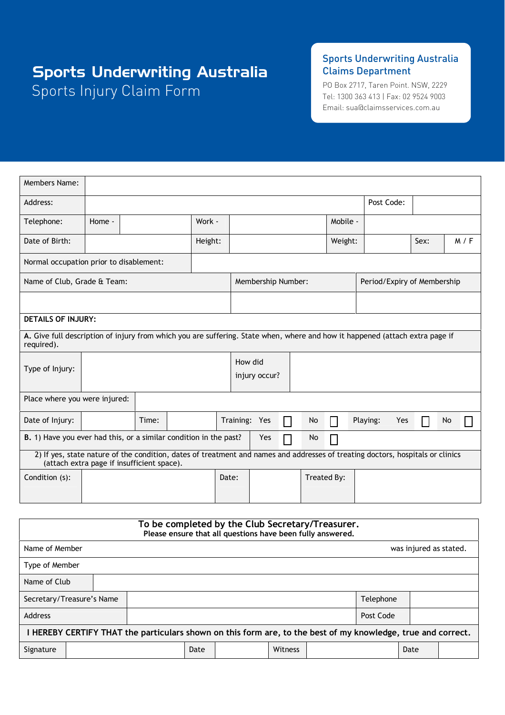# Sports Injury Claim Form Sports Underwriting Australia

### Sports Underwriting Australia Claims Department

PO Box 2717, Taren Point. NSW, 2229 Tel: 1300 363 413 | Fax: 02 9524 9003 Email: sua@claimsservices.com.au

| Members Name:                                                                                                                                                                |        |       |  |         |               |                    |               |    |             |                 |                             |    |       |
|------------------------------------------------------------------------------------------------------------------------------------------------------------------------------|--------|-------|--|---------|---------------|--------------------|---------------|----|-------------|-----------------|-----------------------------|----|-------|
| Address:                                                                                                                                                                     |        |       |  |         |               |                    |               |    |             | Post Code:      |                             |    |       |
| Telephone:                                                                                                                                                                   | Home - |       |  | Work -  |               |                    |               |    | Mobile -    |                 |                             |    |       |
| Date of Birth:                                                                                                                                                               |        |       |  | Height: |               |                    |               |    | Weight:     |                 | Sex:                        |    | M / F |
| Normal occupation prior to disablement:                                                                                                                                      |        |       |  |         |               |                    |               |    |             |                 |                             |    |       |
| Name of Club, Grade & Team:                                                                                                                                                  |        |       |  |         |               | Membership Number: |               |    |             |                 | Period/Expiry of Membership |    |       |
|                                                                                                                                                                              |        |       |  |         |               |                    |               |    |             |                 |                             |    |       |
| <b>DETAILS OF INJURY:</b>                                                                                                                                                    |        |       |  |         |               |                    |               |    |             |                 |                             |    |       |
| A. Give full description of injury from which you are suffering. State when, where and how it happened (attach extra page if<br>required).                                   |        |       |  |         |               |                    |               |    |             |                 |                             |    |       |
| Type of Injury:                                                                                                                                                              |        |       |  |         | How did       | injury occur?      |               |    |             |                 |                             |    |       |
| Place where you were injured:                                                                                                                                                |        |       |  |         |               |                    |               |    |             |                 |                             |    |       |
| Date of Injury:                                                                                                                                                              |        | Time: |  |         | Training: Yes |                    | $\mathcal{L}$ | No |             | Playing:<br>Yes |                             | No |       |
| B. 1) Have you ever had this, or a similar condition in the past?<br>Yes<br>No                                                                                               |        |       |  |         |               |                    |               |    |             |                 |                             |    |       |
| 2) If yes, state nature of the condition, dates of treatment and names and addresses of treating doctors, hospitals or clinics<br>(attach extra page if insufficient space). |        |       |  |         |               |                    |               |    |             |                 |                             |    |       |
| Condition (s):                                                                                                                                                               |        |       |  |         | Date:         |                    |               |    | Treated By: |                 |                             |    |       |
|                                                                                                                                                                              |        |       |  |         |               |                    |               |    |             |                 |                             |    |       |

| To be completed by the Club Secretary/Treasurer.<br>Please ensure that all questions have been fully answered. |                                        |      |  |         |  |  |      |  |
|----------------------------------------------------------------------------------------------------------------|----------------------------------------|------|--|---------|--|--|------|--|
| Name of Member<br>was injured as stated.                                                                       |                                        |      |  |         |  |  |      |  |
| Type of Member                                                                                                 |                                        |      |  |         |  |  |      |  |
| Name of Club                                                                                                   |                                        |      |  |         |  |  |      |  |
|                                                                                                                | Telephone<br>Secretary/Treasure's Name |      |  |         |  |  |      |  |
| Address<br>Post Code                                                                                           |                                        |      |  |         |  |  |      |  |
| I HEREBY CERTIFY THAT the particulars shown on this form are, to the best of my knowledge, true and correct.   |                                        |      |  |         |  |  |      |  |
| Signature                                                                                                      |                                        | Date |  | Witness |  |  | Date |  |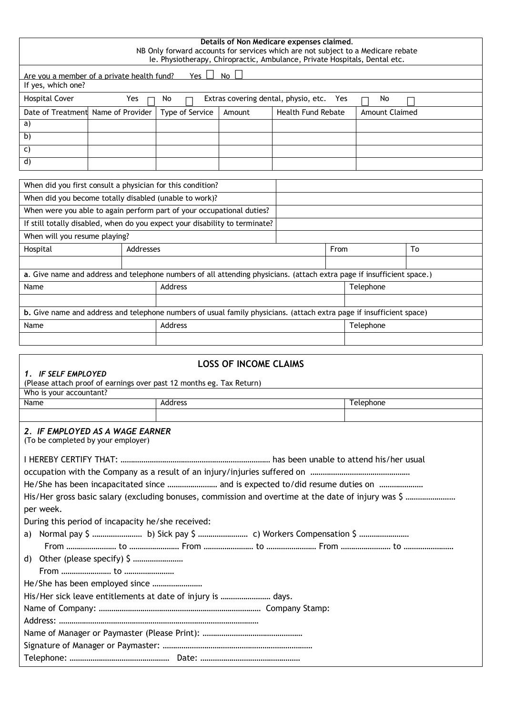| Details of Non Medicare expenses claimed.<br>NB Only forward accounts for services which are not subject to a Medicare rebate<br>le. Physiotherapy, Chiropractic, Ambulance, Private Hospitals, Dental etc. |           |                 |                              |                           |      |                       |    |  |
|-------------------------------------------------------------------------------------------------------------------------------------------------------------------------------------------------------------|-----------|-----------------|------------------------------|---------------------------|------|-----------------------|----|--|
| No L<br>Yes $\Box$<br>Are you a member of a private health fund?<br>If yes, which one?                                                                                                                      |           |                 |                              |                           |      |                       |    |  |
| <b>Hospital Cover</b><br>Yes<br>No<br>Extras covering dental, physio, etc.<br>Yes<br>No                                                                                                                     |           |                 |                              |                           |      |                       |    |  |
| Date of Treatment Name of Provider                                                                                                                                                                          |           | Type of Service | Amount                       | <b>Health Fund Rebate</b> |      | <b>Amount Claimed</b> |    |  |
| a)                                                                                                                                                                                                          |           |                 |                              |                           |      |                       |    |  |
| b)                                                                                                                                                                                                          |           |                 |                              |                           |      |                       |    |  |
| C)                                                                                                                                                                                                          |           |                 |                              |                           |      |                       |    |  |
| d)                                                                                                                                                                                                          |           |                 |                              |                           |      |                       |    |  |
| When did you first consult a physician for this condition?                                                                                                                                                  |           |                 |                              |                           |      |                       |    |  |
|                                                                                                                                                                                                             |           |                 |                              |                           |      |                       |    |  |
| When did you become totally disabled (unable to work)?<br>When were you able to again perform part of your occupational duties?                                                                             |           |                 |                              |                           |      |                       |    |  |
|                                                                                                                                                                                                             |           |                 |                              |                           |      |                       |    |  |
| If still totally disabled, when do you expect your disability to terminate?                                                                                                                                 |           |                 |                              |                           |      |                       |    |  |
| When will you resume playing?                                                                                                                                                                               |           |                 |                              |                           |      |                       |    |  |
| Hospital                                                                                                                                                                                                    | Addresses |                 |                              |                           | From |                       | To |  |
|                                                                                                                                                                                                             |           |                 |                              |                           |      |                       |    |  |
| a. Give name and address and telephone numbers of all attending physicians. (attach extra page if insufficient space.)                                                                                      |           |                 |                              |                           |      |                       |    |  |
| Name                                                                                                                                                                                                        |           | Address         |                              |                           |      | Telephone             |    |  |
| b. Give name and address and telephone numbers of usual family physicians. (attach extra page if insufficient space)                                                                                        |           |                 |                              |                           |      |                       |    |  |
| Name                                                                                                                                                                                                        |           | Address         |                              |                           |      | Telephone             |    |  |
|                                                                                                                                                                                                             |           |                 |                              |                           |      |                       |    |  |
|                                                                                                                                                                                                             |           |                 |                              |                           |      |                       |    |  |
| 1. IF SELF EMPLOYED<br>(Please attach proof of earnings over past 12 months eg. Tax Return)                                                                                                                 |           |                 | <b>LOSS OF INCOME CLAIMS</b> |                           |      |                       |    |  |
| Who is your accountant?                                                                                                                                                                                     |           |                 |                              |                           |      |                       |    |  |
| Name                                                                                                                                                                                                        |           | Address         |                              |                           |      | Telephone             |    |  |
|                                                                                                                                                                                                             |           |                 |                              |                           |      |                       |    |  |
| 2. IF EMPLOYED AS A WAGE EARNER<br>(To be completed by your employer)                                                                                                                                       |           |                 |                              |                           |      |                       |    |  |
|                                                                                                                                                                                                             |           |                 |                              |                           |      |                       |    |  |
|                                                                                                                                                                                                             |           |                 |                              |                           |      |                       |    |  |
| He/She has been incapacitated since  and is expected to/did resume duties on                                                                                                                                |           |                 |                              |                           |      |                       |    |  |
| per week.                                                                                                                                                                                                   |           |                 |                              |                           |      |                       |    |  |
| During this period of incapacity he/she received:                                                                                                                                                           |           |                 |                              |                           |      |                       |    |  |
| a)                                                                                                                                                                                                          |           |                 |                              |                           |      |                       |    |  |
| Normal pay \$  b) Sick pay \$  c) Workers Compensation \$                                                                                                                                                   |           |                 |                              |                           |      |                       |    |  |
| d) Other (please specify) \$                                                                                                                                                                                |           |                 |                              |                           |      |                       |    |  |
|                                                                                                                                                                                                             |           |                 |                              |                           |      |                       |    |  |
|                                                                                                                                                                                                             |           |                 |                              |                           |      |                       |    |  |
| His/Her sick leave entitlements at date of injury is  days.                                                                                                                                                 |           |                 |                              |                           |      |                       |    |  |
|                                                                                                                                                                                                             |           |                 |                              |                           |      |                       |    |  |
|                                                                                                                                                                                                             |           |                 |                              |                           |      |                       |    |  |
|                                                                                                                                                                                                             |           |                 |                              |                           |      |                       |    |  |
|                                                                                                                                                                                                             |           |                 |                              |                           |      |                       |    |  |
|                                                                                                                                                                                                             |           |                 |                              |                           |      |                       |    |  |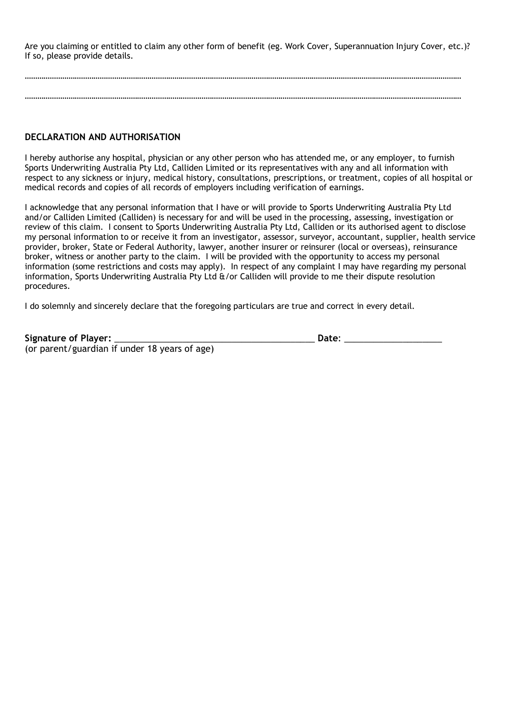Are you claiming or entitled to claim any other form of benefit (eg. Work Cover, Superannuation Injury Cover, etc.)? If so, please provide details.

………………………………………………………………………………………………………………………………………………………………………………………… …………………………………………………………………………………………………………………………………………………………………………………………

#### **DECLARATION AND AUTHORISATION**

I hereby authorise any hospital, physician or any other person who has attended me, or any employer, to furnish Sports Underwriting Australia Pty Ltd, Calliden Limited or its representatives with any and all information with respect to any sickness or injury, medical history, consultations, prescriptions, or treatment, copies of all hospital or medical records and copies of all records of employers including verification of earnings.

I acknowledge that any personal information that I have or will provide to Sports Underwriting Australia Pty Ltd and/or Calliden Limited (Calliden) is necessary for and will be used in the processing, assessing, investigation or review of this claim. I consent to Sports Underwriting Australia Pty Ltd, Calliden or its authorised agent to disclose my personal information to or receive it from an investigator, assessor, surveyor, accountant, supplier, health service provider, broker, State or Federal Authority, lawyer, another insurer or reinsurer (local or overseas), reinsurance broker, witness or another party to the claim. I will be provided with the opportunity to access my personal information (some restrictions and costs may apply). In respect of any complaint I may have regarding my personal information, Sports Underwriting Australia Pty Ltd &/or Calliden will provide to me their dispute resolution procedures.

I do solemnly and sincerely declare that the foregoing particulars are true and correct in every detail.

|  | Signature of Player: _ |  |
|--|------------------------|--|
|--|------------------------|--|

 $\mathsf{Date:}\quad$ 

(or parent/guardian if under 18 years of age)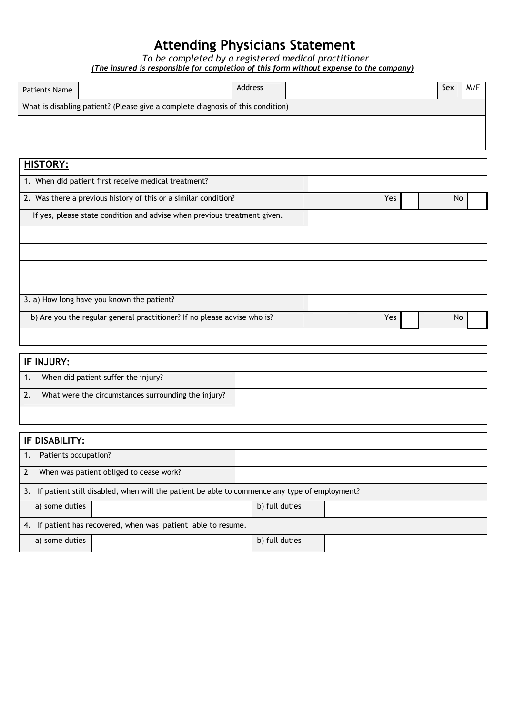## **Attending Physicians Statement**

*To be completed by a registered medical practitioner*

*(The insured is responsible for completion of this form without expense to the company)*

| <b>Patients Name</b>                                                     | <b>Address</b>                                                                  |            | Sex | M/F |
|--------------------------------------------------------------------------|---------------------------------------------------------------------------------|------------|-----|-----|
|                                                                          | What is disabling patient? (Please give a complete diagnosis of this condition) |            |     |     |
|                                                                          |                                                                                 |            |     |     |
|                                                                          |                                                                                 |            |     |     |
| <b>HISTORY:</b>                                                          |                                                                                 |            |     |     |
| 1. When did patient first receive medical treatment?                     |                                                                                 |            |     |     |
| 2. Was there a previous history of this or a similar condition?          |                                                                                 | Yes        | No  |     |
|                                                                          | If yes, please state condition and advise when previous treatment given.        |            |     |     |
|                                                                          |                                                                                 |            |     |     |
|                                                                          |                                                                                 |            |     |     |
|                                                                          |                                                                                 |            |     |     |
|                                                                          |                                                                                 |            |     |     |
| 3. a) How long have you known the patient?                               |                                                                                 |            |     |     |
| b) Are you the regular general practitioner? If no please advise who is? |                                                                                 | <b>Yes</b> | No  |     |

# **IF INJURY:** 1. When did patient suffer the injury? 2. What were the circumstances surrounding the injury?

| IF DISABILITY:                                                                                  |                |  |  |  |  |  |
|-------------------------------------------------------------------------------------------------|----------------|--|--|--|--|--|
| Patients occupation?                                                                            |                |  |  |  |  |  |
| When was patient obliged to cease work?<br>$\mathcal{P}$                                        |                |  |  |  |  |  |
| 3. If patient still disabled, when will the patient be able to commence any type of employment? |                |  |  |  |  |  |
| a) some duties                                                                                  | b) full duties |  |  |  |  |  |
| 4. If patient has recovered, when was patient able to resume.                                   |                |  |  |  |  |  |
| a) some duties                                                                                  | b) full duties |  |  |  |  |  |